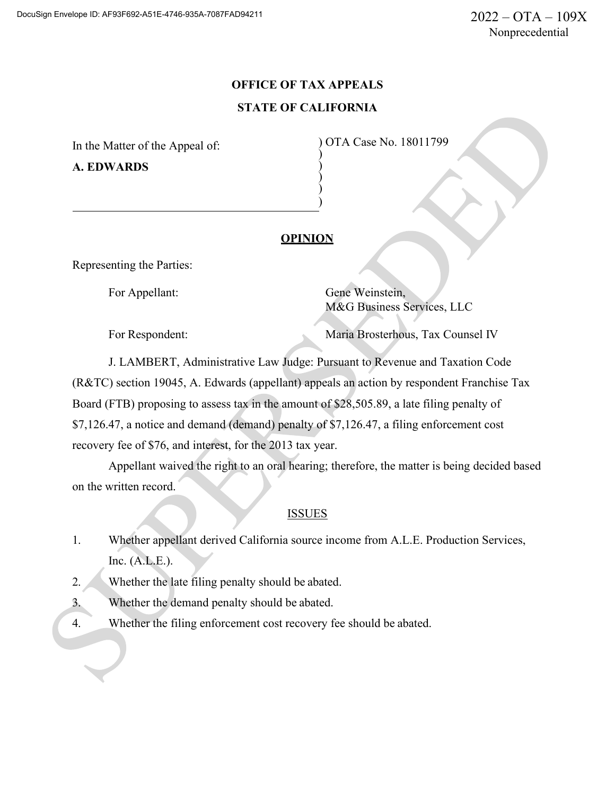# **OFFICE OF TAX APPEALS STATE OF CALIFORNIA**

) ) ) )

In the Matter of the Appeal of: **A. EDWARDS**

) OTA Case No. 18011799 )

## **OPINION**

Representing the Parties:

For Appellant: Gene Weinstein, M&G Business Services, LLC

For Respondent: Maria Brosterhous, Tax Counsel IV

J. LAMBERT, Administrative Law Judge: Pursuant to Revenue and Taxation Code (R&TC) section 19045, A. Edwards (appellant) appeals an action by respondent Franchise Tax Board (FTB) proposing to assess tax in the amount of \$28,505.89, a late filing penalty of \$7,126.47, a notice and demand (demand) penalty of \$7,126.47, a filing enforcement cost recovery fee of \$76, and interest, for the 2013 tax year.

Appellant waived the right to an oral hearing; therefore, the matter is being decided based on the written record.

# ISSUES

- 1. Whether appellant derived California source income from A.L.E. Production Services, Inc. (A.L.E.).
- 2. Whether the late filing penalty should be abated.
- 3. Whether the demand penalty should be abated.
- 4. Whether the filing enforcement cost recovery fee should be abated.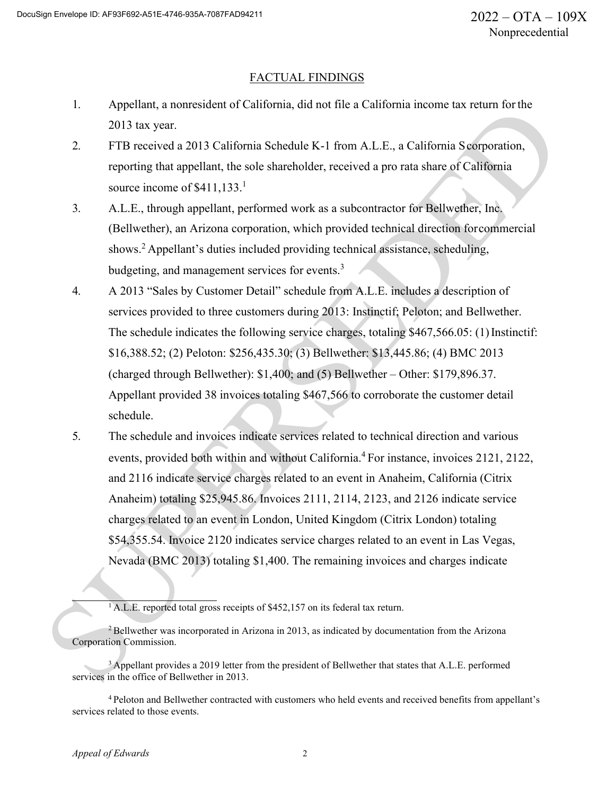#### FACTUAL FINDINGS

- 1. Appellant, a nonresident of California, did not file a California income tax return for the 2013 tax year.
- 2. FTB received a 2013 California Schedule K-1 from A.L.E., a California Scorporation, reporting that appellant, the sole shareholder, received a pro rata share of California source income of  $$411,133$ <sup>1</sup>
- 3. A.L.E., through appellant, performed work as a subcontractor for Bellwether, Inc. (Bellwether), an Arizona corporation, which provided technical direction forcommercial shows.<sup>2</sup> Appellant's duties included providing technical assistance, scheduling, budgeting, and management services for events.<sup>3</sup>
- 4. A 2013 "Sales by Customer Detail" schedule from A.L.E. includes a description of services provided to three customers during 2013: Instinctif; Peloton; and Bellwether. The schedule indicates the following service charges, totaling \$467,566.05: (1) Instinctif: \$16,388.52; (2) Peloton: \$256,435.30; (3) Bellwether: \$13,445.86; (4) BMC 2013 (charged through Bellwether): \$1,400; and (5) Bellwether – Other: \$179,896.37. Appellant provided 38 invoices totaling \$467,566 to corroborate the customer detail schedule.
- 5. The schedule and invoices indicate services related to technical direction and various events, provided both within and without California.<sup>4</sup> For instance, invoices 2121, 2122, and 2116 indicate service charges related to an event in Anaheim, California (Citrix Anaheim) totaling \$25,945.86. Invoices 2111, 2114, 2123, and 2126 indicate service charges related to an event in London, United Kingdom (Citrix London) totaling \$54,355.54. Invoice 2120 indicates service charges related to an event in Las Vegas, Nevada (BMC 2013) totaling \$1,400. The remaining invoices and charges indicate

<sup>&</sup>lt;sup>1</sup> A.L.E. reported total gross receipts of \$452,157 on its federal tax return.

 $2$ Bellwether was incorporated in Arizona in 2013, as indicated by documentation from the Arizona Corporation Commission.

<sup>&</sup>lt;sup>3</sup> Appellant provides a 2019 letter from the president of Bellwether that states that A.L.E. performed services in the office of Bellwether in 2013.

<sup>4</sup> Peloton and Bellwether contracted with customers who held events and received benefits from appellant's services related to those events.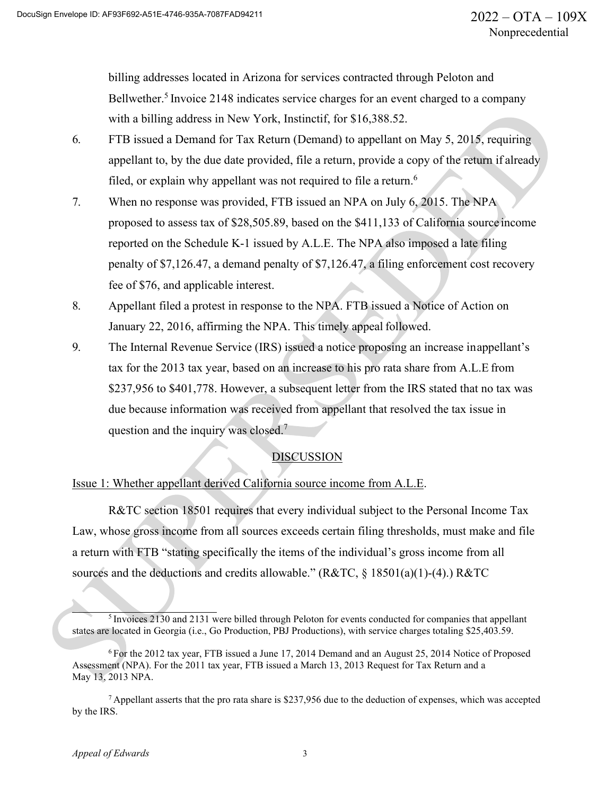billing addresses located in Arizona for services contracted through Peloton and Bellwether.<sup>5</sup> Invoice 2148 indicates service charges for an event charged to a company with a billing address in New York, Instinctif, for \$16,388.52.

- 6. FTB issued a Demand for Tax Return (Demand) to appellant on May 5, 2015, requiring appellant to, by the due date provided, file a return, provide a copy of the return if already filed, or explain why appellant was not required to file a return.<sup>6</sup>
- 7. When no response was provided, FTB issued an NPA on July 6, 2015. The NPA proposed to assess tax of \$28,505.89, based on the \$411,133 of California source income reported on the Schedule K-1 issued by A.L.E. The NPA also imposed a late filing penalty of \$7,126.47, a demand penalty of \$7,126.47, a filing enforcement cost recovery fee of \$76, and applicable interest.
- 8. Appellant filed a protest in response to the NPA. FTB issued a Notice of Action on January 22, 2016, affirming the NPA. This timely appeal followed.
- 9. The Internal Revenue Service (IRS) issued a notice proposing an increase inappellant's tax for the 2013 tax year, based on an increase to his pro rata share from A.L.E from \$237,956 to \$401,778. However, a subsequent letter from the IRS stated that no tax was due because information was received from appellant that resolved the tax issue in question and the inquiry was closed.<sup>7</sup>

## DISCUSSION

## Issue 1: Whether appellant derived California source income from A.L.E.

R&TC section 18501 requires that every individual subject to the Personal Income Tax Law, whose gross income from all sources exceeds certain filing thresholds, must make and file a return with FTB "stating specifically the items of the individual's gross income from all sources and the deductions and credits allowable." (R&TC, § 18501(a)(1)-(4).) R&TC

<sup>&</sup>lt;sup>5</sup> Invoices 2130 and 2131 were billed through Peloton for events conducted for companies that appellant states are located in Georgia (i.e., Go Production, PBJ Productions), with service charges totaling \$25,403.59.

<sup>6</sup> For the 2012 tax year, FTB issued a June 17, 2014 Demand and an August 25, 2014 Notice of Proposed Assessment (NPA). For the 2011 tax year, FTB issued a March 13, 2013 Request for Tax Return and a May 13, 2013 NPA.

<sup>7</sup> Appellant asserts that the pro rata share is \$237,956 due to the deduction of expenses, which was accepted by the IRS.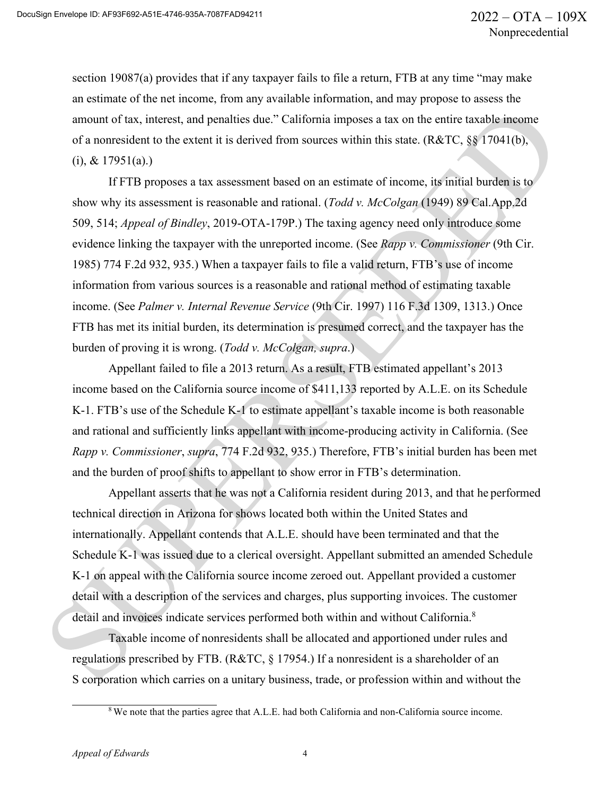section 19087(a) provides that if any taxpayer fails to file a return, FTB at any time "may make an estimate of the net income, from any available information, and may propose to assess the amount of tax, interest, and penalties due." California imposes a tax on the entire taxable income of a nonresident to the extent it is derived from sources within this state. (R&TC, §§ 17041(b),  $(i)$ , & 17951(a).)

If FTB proposes a tax assessment based on an estimate of income, its initial burden is to show why its assessment is reasonable and rational. (*Todd v. McColgan* (1949) 89 Cal.App.2d 509, 514; *Appeal of Bindley*, 2019-OTA-179P.) The taxing agency need only introduce some evidence linking the taxpayer with the unreported income. (See *Rapp v. Commissioner* (9th Cir. 1985) 774 F.2d 932, 935.) When a taxpayer fails to file a valid return, FTB's use of income information from various sources is a reasonable and rational method of estimating taxable income. (See *Palmer v. Internal Revenue Service* (9th Cir. 1997) 116 F.3d 1309, 1313.) Once FTB has met its initial burden, its determination is presumed correct, and the taxpayer has the burden of proving it is wrong. (*Todd v. McColgan, supra*.)

Appellant failed to file a 2013 return. As a result, FTB estimated appellant's 2013 income based on the California source income of \$411,133 reported by A.L.E. on its Schedule K-1. FTB's use of the Schedule K-1 to estimate appellant's taxable income is both reasonable and rational and sufficiently links appellant with income-producing activity in California. (See *Rapp v. Commissioner*, *supra*, 774 F.2d 932, 935.) Therefore, FTB's initial burden has been met and the burden of proof shifts to appellant to show error in FTB's determination.

Appellant asserts that he was not a California resident during 2013, and that he performed technical direction in Arizona for shows located both within the United States and internationally. Appellant contends that A.L.E. should have been terminated and that the Schedule K-1 was issued due to a clerical oversight. Appellant submitted an amended Schedule K-1 on appeal with the California source income zeroed out. Appellant provided a customer detail with a description of the services and charges, plus supporting invoices. The customer detail and invoices indicate services performed both within and without California.<sup>8</sup>

Taxable income of nonresidents shall be allocated and apportioned under rules and regulations prescribed by FTB. (R&TC, § 17954.) If a nonresident is a shareholder of an S corporation which carries on a unitary business, trade, or profession within and without the

<sup>&</sup>lt;sup>8</sup> We note that the parties agree that A.L.E. had both California and non-California source income.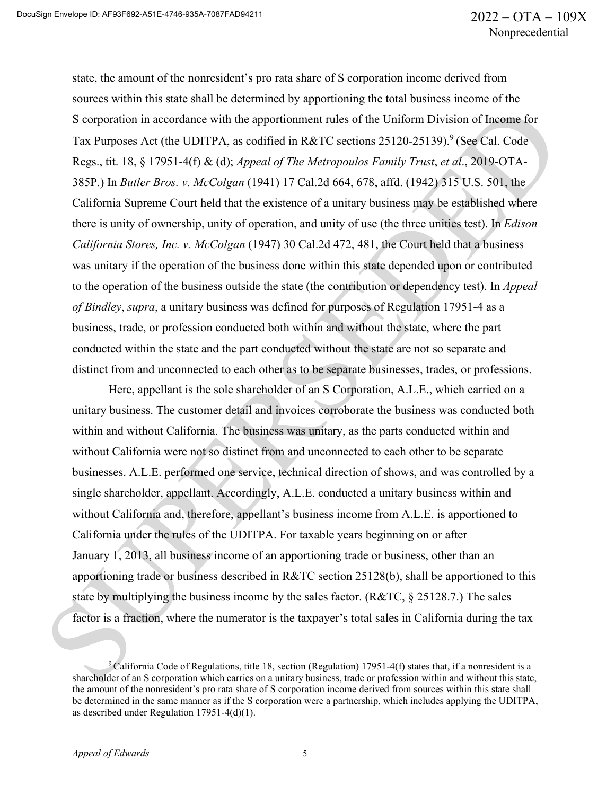state, the amount of the nonresident's pro rata share of S corporation income derived from sources within this state shall be determined by apportioning the total business income of the S corporation in accordance with the apportionment rules of the Uniform Division of Income for Tax Purposes Act (the UDITPA, as codified in R&TC sections  $25120-25139$ ).<sup>9</sup> (See Cal. Code Regs., tit. 18, § 17951-4(f) & (d); *Appeal of The Metropoulos Family Trust*, *et al*., 2019-OTA-385P.) In *Butler Bros. v. McColgan* (1941) 17 Cal.2d 664, 678, affd. (1942) 315 U.S. 501, the California Supreme Court held that the existence of a unitary business may be established where there is unity of ownership, unity of operation, and unity of use (the three unities test). In *Edison California Stores, Inc. v. McColgan* (1947) 30 Cal.2d 472, 481, the Court held that a business was unitary if the operation of the business done within this state depended upon or contributed to the operation of the business outside the state (the contribution or dependency test). In *Appeal of Bindley*, *supra*, a unitary business was defined for purposes of Regulation 17951-4 as a business, trade, or profession conducted both within and without the state, where the part conducted within the state and the part conducted without the state are not so separate and distinct from and unconnected to each other as to be separate businesses, trades, or professions.

Here, appellant is the sole shareholder of an S Corporation, A.L.E., which carried on a unitary business. The customer detail and invoices corroborate the business was conducted both within and without California. The business was unitary, as the parts conducted within and without California were not so distinct from and unconnected to each other to be separate businesses. A.L.E. performed one service, technical direction of shows, and was controlled by a single shareholder, appellant. Accordingly, A.L.E. conducted a unitary business within and without California and, therefore, appellant's business income from A.L.E. is apportioned to California under the rules of the UDITPA. For taxable years beginning on or after January 1, 2013, all business income of an apportioning trade or business, other than an apportioning trade or business described in R&TC section 25128(b), shall be apportioned to this state by multiplying the business income by the sales factor. ( $\text{R&TC}, \& 25128.7$ .) The sales factor is a fraction, where the numerator is the taxpayer's total sales in California during the tax

<sup>&</sup>lt;sup>9</sup> California Code of Regulations, title 18, section (Regulation) 17951-4(f) states that, if a nonresident is a shareholder of an S corporation which carries on a unitary business, trade or profession within and without this state, the amount of the nonresident's pro rata share of S corporation income derived from sources within this state shall be determined in the same manner as if the S corporation were a partnership, which includes applying the UDITPA, as described under Regulation 17951-4(d)(1).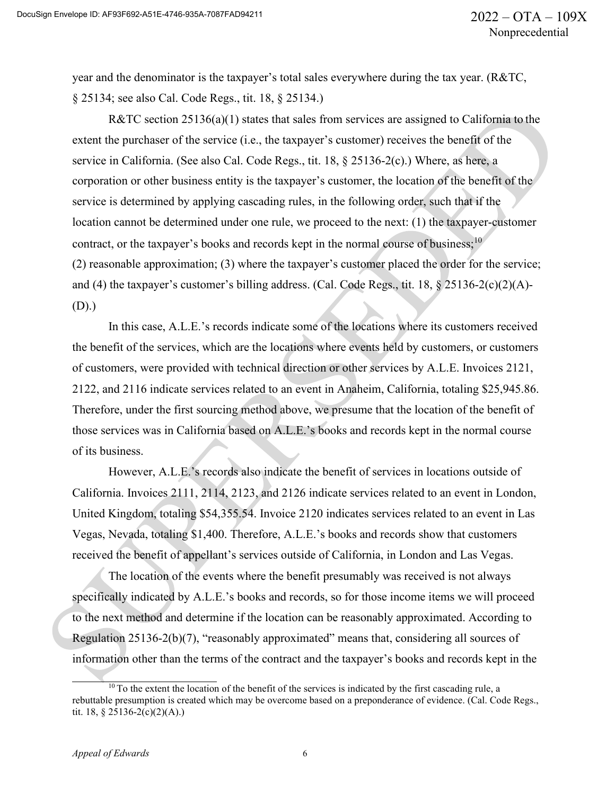year and the denominator is the taxpayer's total sales everywhere during the tax year. (R&TC, § 25134; see also Cal. Code Regs., tit. 18, § 25134.)

R&TC section 25136(a)(1) states that sales from services are assigned to California to the extent the purchaser of the service (i.e., the taxpayer's customer) receives the benefit of the service in California. (See also Cal. Code Regs., tit. 18, § 25136-2(c).) Where, as here, a corporation or other business entity is the taxpayer's customer, the location of the benefit of the service is determined by applying cascading rules, in the following order, such that if the location cannot be determined under one rule, we proceed to the next: (1) the taxpayer-customer contract, or the taxpayer's books and records kept in the normal course of business;<sup>10</sup> (2) reasonable approximation; (3) where the taxpayer's customer placed the order for the service; and (4) the taxpayer's customer's billing address. (Cal. Code Regs., tit. 18, § 25136-2(c)(2)(A)- (D).)

In this case, A.L.E.'s records indicate some of the locations where its customers received the benefit of the services, which are the locations where events held by customers, or customers of customers, were provided with technical direction or other services by A.L.E. Invoices 2121, 2122, and 2116 indicate services related to an event in Anaheim, California, totaling \$25,945.86. Therefore, under the first sourcing method above, we presume that the location of the benefit of those services was in California based on A.L.E.'s books and records kept in the normal course of its business.

However, A.L.E.'s records also indicate the benefit of services in locations outside of California. Invoices 2111, 2114, 2123, and 2126 indicate services related to an event in London, United Kingdom, totaling \$54,355.54. Invoice 2120 indicates services related to an event in Las Vegas, Nevada, totaling \$1,400. Therefore, A.L.E.'s books and records show that customers received the benefit of appellant's services outside of California, in London and Las Vegas.

The location of the events where the benefit presumably was received is not always specifically indicated by A.L.E.'s books and records, so for those income items we will proceed to the next method and determine if the location can be reasonably approximated. According to Regulation 25136-2(b)(7), "reasonably approximated" means that, considering all sources of information other than the terms of the contract and the taxpayer's books and records kept in the

 $10$  To the extent the location of the benefit of the services is indicated by the first cascading rule, a rebuttable presumption is created which may be overcome based on a preponderance of evidence. (Cal. Code Regs., tit. 18, § 25136-2(c)(2)(A).)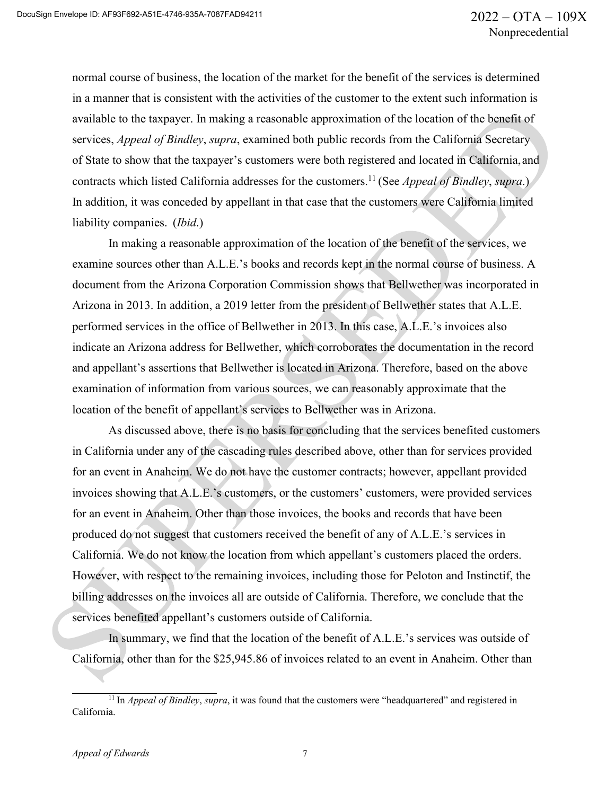normal course of business, the location of the market for the benefit of the services is determined in a manner that is consistent with the activities of the customer to the extent such information is available to the taxpayer. In making a reasonable approximation of the location of the benefit of services, *Appeal of Bindley*, *supra*, examined both public records from the California Secretary of State to show that the taxpayer's customers were both registered and located in California,and contracts which listed California addresses for the customers.11 (See *Appeal of Bindley*, *supra*.) In addition, it was conceded by appellant in that case that the customers were California limited liability companies. (*Ibid*.)

In making a reasonable approximation of the location of the benefit of the services, we examine sources other than A.L.E.'s books and records kept in the normal course of business. A document from the Arizona Corporation Commission shows that Bellwether was incorporated in Arizona in 2013. In addition, a 2019 letter from the president of Bellwether states that A.L.E. performed services in the office of Bellwether in 2013. In this case, A.L.E.'s invoices also indicate an Arizona address for Bellwether, which corroborates the documentation in the record and appellant's assertions that Bellwether is located in Arizona. Therefore, based on the above examination of information from various sources, we can reasonably approximate that the location of the benefit of appellant's services to Bellwether was in Arizona.

As discussed above, there is no basis for concluding that the services benefited customers in California under any of the cascading rules described above, other than for services provided for an event in Anaheim. We do not have the customer contracts; however, appellant provided invoices showing that A.L.E.'s customers, or the customers' customers, were provided services for an event in Anaheim. Other than those invoices, the books and records that have been produced do not suggest that customers received the benefit of any of A.L.E.'s services in California. We do not know the location from which appellant's customers placed the orders. However, with respect to the remaining invoices, including those for Peloton and Instinctif, the billing addresses on the invoices all are outside of California. Therefore, we conclude that the services benefited appellant's customers outside of California.

In summary, we find that the location of the benefit of A.L.E.'s services was outside of California, other than for the \$25,945.86 of invoices related to an event in Anaheim. Other than

<sup>&</sup>lt;sup>11</sup> In *Appeal of Bindley*, *supra*, it was found that the customers were "headquartered" and registered in California.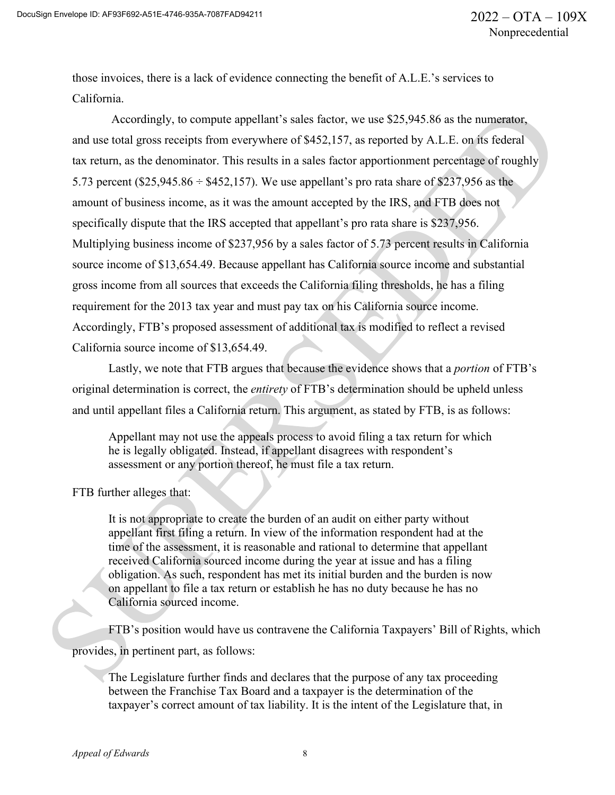those invoices, there is a lack of evidence connecting the benefit of A.L.E.'s services to California.

Accordingly, to compute appellant's sales factor, we use \$25,945.86 as the numerator, and use total gross receipts from everywhere of \$452,157, as reported by A.L.E. on its federal tax return, as the denominator. This results in a sales factor apportionment percentage of roughly 5.73 percent (\$25,945.86  $\div$  \$452,157). We use appellant's pro rata share of \$237,956 as the amount of business income, as it was the amount accepted by the IRS, and FTB does not specifically dispute that the IRS accepted that appellant's pro rata share is \$237,956. Multiplying business income of \$237,956 by a sales factor of 5.73 percent results in California source income of \$13,654.49. Because appellant has California source income and substantial gross income from all sources that exceeds the California filing thresholds, he has a filing requirement for the 2013 tax year and must pay tax on his California source income. Accordingly, FTB's proposed assessment of additional tax is modified to reflect a revised California source income of \$13,654.49.

Lastly, we note that FTB argues that because the evidence shows that a *portion* of FTB's original determination is correct, the *entirety* of FTB's determination should be upheld unless and until appellant files a California return. This argument, as stated by FTB, is as follows:

Appellant may not use the appeals process to avoid filing a tax return for which he is legally obligated. Instead, if appellant disagrees with respondent's assessment or any portion thereof, he must file a tax return.

FTB further alleges that:

It is not appropriate to create the burden of an audit on either party without appellant first filing a return. In view of the information respondent had at the time of the assessment, it is reasonable and rational to determine that appellant received California sourced income during the year at issue and has a filing obligation. As such, respondent has met its initial burden and the burden is now on appellant to file a tax return or establish he has no duty because he has no California sourced income.

FTB's position would have us contravene the California Taxpayers' Bill of Rights, which provides, in pertinent part, as follows:

The Legislature further finds and declares that the purpose of any tax proceeding between the Franchise Tax Board and a taxpayer is the determination of the taxpayer's correct amount of tax liability. It is the intent of the Legislature that, in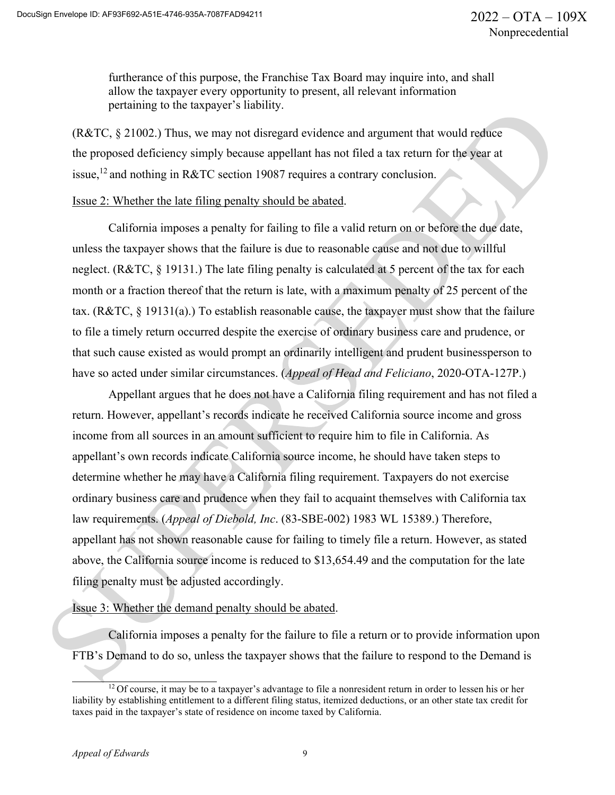furtherance of this purpose, the Franchise Tax Board may inquire into, and shall allow the taxpayer every opportunity to present, all relevant information pertaining to the taxpayer's liability.

(R&TC, § 21002.) Thus, we may not disregard evidence and argument that would reduce the proposed deficiency simply because appellant has not filed a tax return for the year at issue,<sup>12</sup> and nothing in R&TC section 19087 requires a contrary conclusion.

#### Issue 2: Whether the late filing penalty should be abated.

California imposes a penalty for failing to file a valid return on or before the due date, unless the taxpayer shows that the failure is due to reasonable cause and not due to willful neglect. (R&TC, § 19131.) The late filing penalty is calculated at 5 percent of the tax for each month or a fraction thereof that the return is late, with a maximum penalty of 25 percent of the tax. (R&TC, § 19131(a).) To establish reasonable cause, the taxpayer must show that the failure to file a timely return occurred despite the exercise of ordinary business care and prudence, or that such cause existed as would prompt an ordinarily intelligent and prudent businessperson to have so acted under similar circumstances. (*Appeal of Head and Feliciano*, 2020-OTA-127P.)

Appellant argues that he does not have a California filing requirement and has not filed a return. However, appellant's records indicate he received California source income and gross income from all sources in an amount sufficient to require him to file in California. As appellant's own records indicate California source income, he should have taken steps to determine whether he may have a California filing requirement. Taxpayers do not exercise ordinary business care and prudence when they fail to acquaint themselves with California tax law requirements. (*Appeal of Diebold, Inc*. (83-SBE-002) 1983 WL 15389.) Therefore, appellant has not shown reasonable cause for failing to timely file a return. However, as stated above, the California source income is reduced to \$13,654.49 and the computation for the late filing penalty must be adjusted accordingly.

#### Issue 3: Whether the demand penalty should be abated.

California imposes a penalty for the failure to file a return or to provide information upon FTB's Demand to do so, unless the taxpayer shows that the failure to respond to the Demand is

<sup>&</sup>lt;sup>12</sup> Of course, it may be to a taxpayer's advantage to file a nonresident return in order to lessen his or her liability by establishing entitlement to a different filing status, itemized deductions, or an other state tax credit for taxes paid in the taxpayer's state of residence on income taxed by California.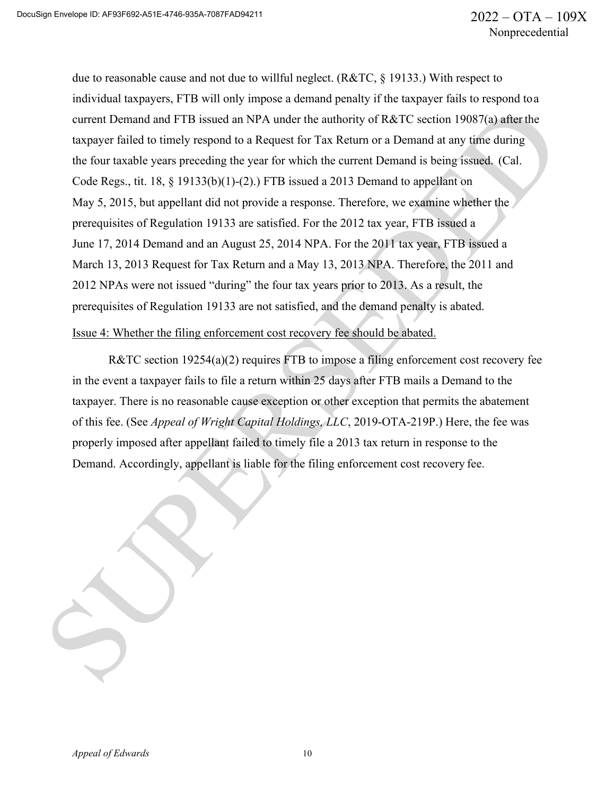due to reasonable cause and not due to willful neglect. (R&TC, § 19133.) With respect to individual taxpayers, FTB will only impose a demand penalty if the taxpayer fails to respond toa current Demand and FTB issued an NPA under the authority of R&TC section 19087(a) after the taxpayer failed to timely respond to a Request for Tax Return or a Demand at any time during the four taxable years preceding the year for which the current Demand is being issued. (Cal. Code Regs., tit. 18, § 19133(b)(1)-(2).) FTB issued a 2013 Demand to appellant on May 5, 2015, but appellant did not provide a response. Therefore, we examine whether the prerequisites of Regulation 19133 are satisfied. For the 2012 tax year, FTB issued a June 17, 2014 Demand and an August 25, 2014 NPA. For the 2011 tax year, FTB issued a March 13, 2013 Request for Tax Return and a May 13, 2013 NPA. Therefore, the 2011 and 2012 NPAs were not issued "during" the four tax years prior to 2013. As a result, the prerequisites of Regulation 19133 are not satisfied, and the demand penalty is abated.

### Issue 4: Whether the filing enforcement cost recovery fee should be abated.

R&TC section 19254(a)(2) requires FTB to impose a filing enforcement cost recovery fee in the event a taxpayer fails to file a return within 25 days after FTB mails a Demand to the taxpayer. There is no reasonable cause exception or other exception that permits the abatement of this fee. (See *Appeal of Wright Capital Holdings, LLC*, 2019-OTA-219P.) Here, the fee was properly imposed after appellant failed to timely file a 2013 tax return in response to the Demand. Accordingly, appellant is liable for the filing enforcement cost recovery fee.